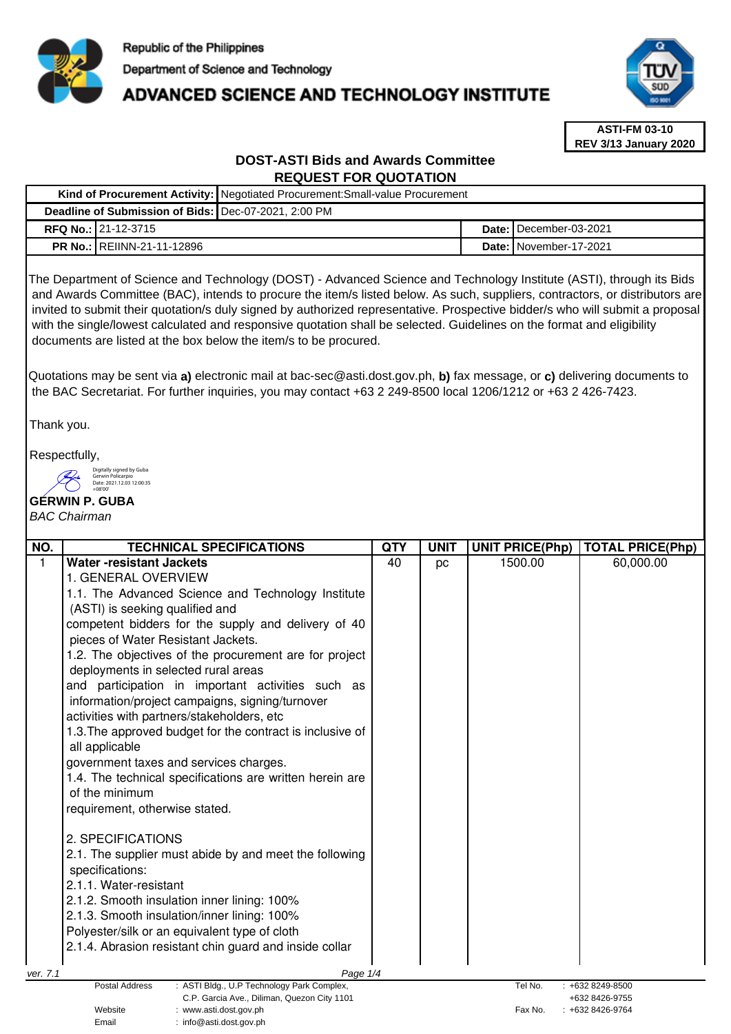

# **ADVANCED SCIENCE AND TECHNOLOGY INSTITUTE**



**ASTI-FM 03-10 REV 3/13 January 2020**

## **DOST-ASTI Bids and Awards Committee REQUEST FOR QUOTATION**

|                                                        | Kind of Procurement Activity:   Negotiated Procurement: Small-value Procurement |  |                                 |  |  |
|--------------------------------------------------------|---------------------------------------------------------------------------------|--|---------------------------------|--|--|
| Deadline of Submission of Bids:   Dec-07-2021, 2:00 PM |                                                                                 |  |                                 |  |  |
| <b>RFQ No.: 21-12-3715</b>                             |                                                                                 |  | <b>Date: I</b> December-03-2021 |  |  |
| <b>PR No.: REIINN-21-11-12896</b>                      |                                                                                 |  | Date: I November-17-2021        |  |  |

The Department of Science and Technology (DOST) - Advanced Science and Technology Institute (ASTI), through its Bids and Awards Committee (BAC), intends to procure the item/s listed below. As such, suppliers, contractors, or distributors are invited to submit their quotation/s duly signed by authorized representative. Prospective bidder/s who will submit a proposal with the single/lowest calculated and responsive quotation shall be selected. Guidelines on the format and eligibility documents are listed at the box below the item/s to be procured.

Quotations may be sent via **a)** electronic mail at bac-sec@asti.dost.gov.ph, **b)** fax message, or **c)** delivering documents to the BAC Secretariat. For further inquiries, you may contact +63 2 249-8500 local 1206/1212 or +63 2 426-7423.

Thank you.

Respectfully,

Digitally signed by Guba Gerwin Policarpio Date: 2021.12.03 12:00:35 +08'00'

## **GERWIN P. GUBA**

### BAC Chairman

| NO.                                                                                                   | <b>TECHNICAL SPECIFICATIONS</b>                           | <b>QTY</b> | <b>UNIT</b> | UNIT PRICE(Php) | <b>TOTAL PRICE(Php)</b> |  |  |
|-------------------------------------------------------------------------------------------------------|-----------------------------------------------------------|------------|-------------|-----------------|-------------------------|--|--|
| 1                                                                                                     | <b>Water-resistant Jackets</b>                            | 40         | pc          | 1500.00         | 60,000.00               |  |  |
|                                                                                                       | 1. GENERAL OVERVIEW                                       |            |             |                 |                         |  |  |
|                                                                                                       | 1.1. The Advanced Science and Technology Institute        |            |             |                 |                         |  |  |
|                                                                                                       | (ASTI) is seeking qualified and                           |            |             |                 |                         |  |  |
|                                                                                                       | competent bidders for the supply and delivery of 40       |            |             |                 |                         |  |  |
|                                                                                                       | pieces of Water Resistant Jackets.                        |            |             |                 |                         |  |  |
|                                                                                                       | 1.2. The objectives of the procurement are for project    |            |             |                 |                         |  |  |
|                                                                                                       | deployments in selected rural areas                       |            |             |                 |                         |  |  |
|                                                                                                       | and participation in important activities such as         |            |             |                 |                         |  |  |
|                                                                                                       | information/project campaigns, signing/turnover           |            |             |                 |                         |  |  |
|                                                                                                       | activities with partners/stakeholders, etc                |            |             |                 |                         |  |  |
|                                                                                                       | 1.3. The approved budget for the contract is inclusive of |            |             |                 |                         |  |  |
|                                                                                                       | all applicable                                            |            |             |                 |                         |  |  |
|                                                                                                       | government taxes and services charges.                    |            |             |                 |                         |  |  |
|                                                                                                       | 1.4. The technical specifications are written herein are  |            |             |                 |                         |  |  |
|                                                                                                       | of the minimum                                            |            |             |                 |                         |  |  |
|                                                                                                       | requirement, otherwise stated.                            |            |             |                 |                         |  |  |
|                                                                                                       | 2. SPECIFICATIONS                                         |            |             |                 |                         |  |  |
|                                                                                                       | 2.1. The supplier must abide by and meet the following    |            |             |                 |                         |  |  |
|                                                                                                       | specifications:                                           |            |             |                 |                         |  |  |
|                                                                                                       | 2.1.1. Water-resistant                                    |            |             |                 |                         |  |  |
|                                                                                                       | 2.1.2. Smooth insulation inner lining: 100%               |            |             |                 |                         |  |  |
|                                                                                                       | 2.1.3. Smooth insulation/inner lining: 100%               |            |             |                 |                         |  |  |
|                                                                                                       | Polyester/silk or an equivalent type of cloth             |            |             |                 |                         |  |  |
|                                                                                                       | 2.1.4. Abrasion resistant chin guard and inside collar    |            |             |                 |                         |  |  |
| Page 1/4<br>ver. 7.1                                                                                  |                                                           |            |             |                 |                         |  |  |
| Tel No.<br><b>Postal Address</b><br>: ASTI Bldg., U.P Technology Park Complex,<br>$: +6328249 - 8500$ |                                                           |            |             |                 |                         |  |  |

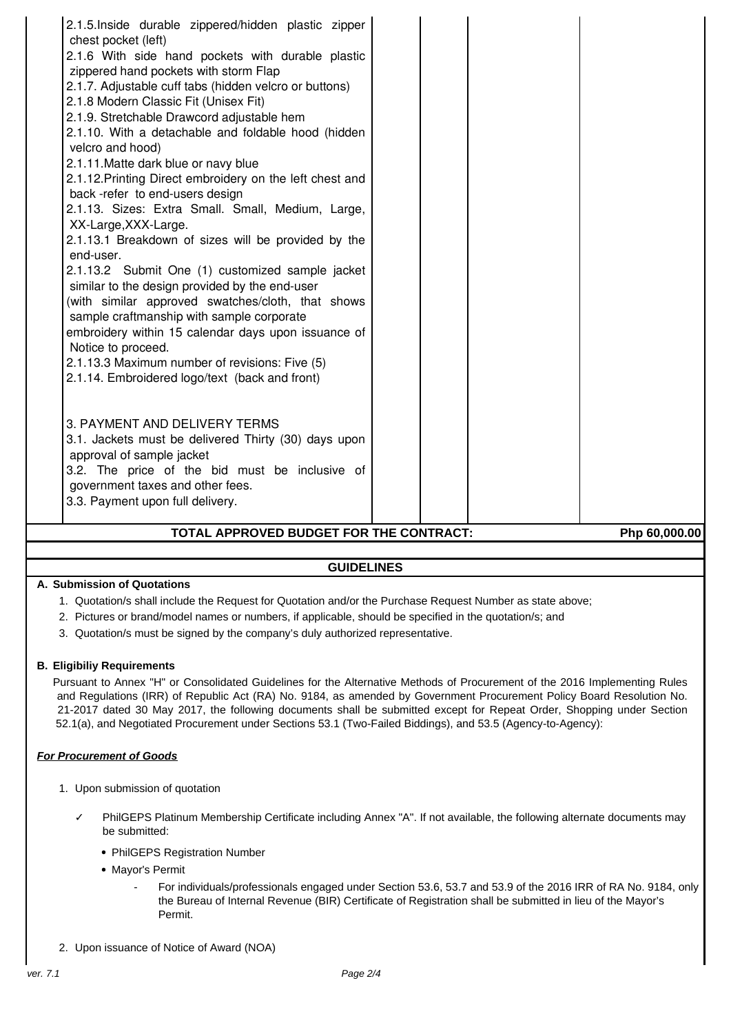#### **GUIDELINES**

#### **A. Submission of Quotations**

- 1. Quotation/s shall include the Request for Quotation and/or the Purchase Request Number as state above;
- 2. Pictures or brand/model names or numbers, if applicable, should be specified in the quotation/s; and
- 3. Quotation/s must be signed by the company's duly authorized representative.

#### **B. Eligibiliy Requirements**

Pursuant to Annex "H" or Consolidated Guidelines for the Alternative Methods of Procurement of the 2016 Implementing Rules and Regulations (IRR) of Republic Act (RA) No. 9184, as amended by Government Procurement Policy Board Resolution No. 21-2017 dated 30 May 2017, the following documents shall be submitted except for Repeat Order, Shopping under Section 52.1(a), and Negotiated Procurement under Sections 53.1 (Two-Failed Biddings), and 53.5 (Agency-to-Agency):

#### **For Procurement of Goods**

- 1. Upon submission of quotation
	- PhilGEPS Platinum Membership Certificate including Annex "A". If not available, the following alternate documents may be submitted:
		- PhilGEPS Registration Number
		- Mayor's Permit
			- For individuals/professionals engaged under Section 53.6, 53.7 and 53.9 of the 2016 IRR of RA No. 9184, only the Bureau of Internal Revenue (BIR) Certificate of Registration shall be submitted in lieu of the Mayor's Permit.
- 2. Upon issuance of Notice of Award (NOA)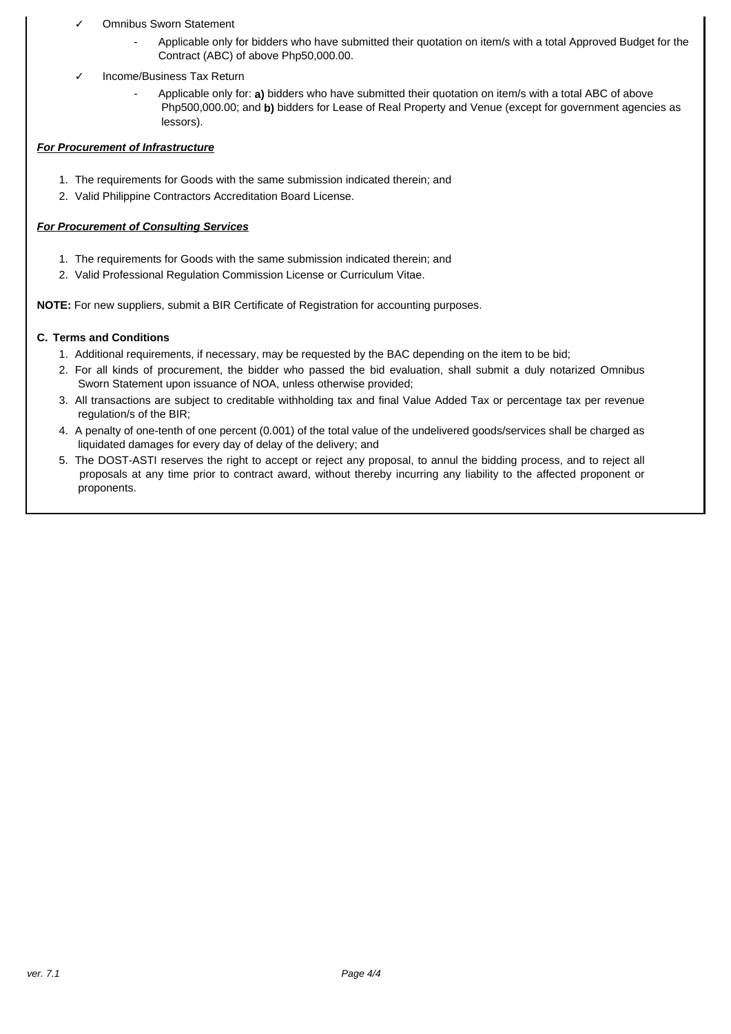- ✓ Omnibus Sworn Statement
	- Applicable only for bidders who have submitted their quotation on item/s with a total Approved Budget for the Contract (ABC) of above Php50,000.00.
- Income/Business Tax Return
	- Applicable only for: **a)** bidders who have submitted their quotation on item/s with a total ABC of above Php500,000.00; and **b)** bidders for Lease of Real Property and Venue (except for government agencies as lessors).

#### **For Procurement of Infrastructure**

- 1. The requirements for Goods with the same submission indicated therein; and
- 2. Valid Philippine Contractors Accreditation Board License.

#### **For Procurement of Consulting Services**

- 1. The requirements for Goods with the same submission indicated therein; and
- 2. Valid Professional Regulation Commission License or Curriculum Vitae.

**NOTE:** For new suppliers, submit a BIR Certificate of Registration for accounting purposes.

#### **C. Terms and Conditions**

- 1. Additional requirements, if necessary, may be requested by the BAC depending on the item to be bid;
- 2. For all kinds of procurement, the bidder who passed the bid evaluation, shall submit a duly notarized Omnibus Sworn Statement upon issuance of NOA, unless otherwise provided;
- 3. All transactions are subject to creditable withholding tax and final Value Added Tax or percentage tax per revenue regulation/s of the BIR;
- 4. A penalty of one-tenth of one percent (0.001) of the total value of the undelivered goods/services shall be charged as liquidated damages for every day of delay of the delivery; and
- 5. The DOST-ASTI reserves the right to accept or reject any proposal, to annul the bidding process, and to reject all proposals at any time prior to contract award, without thereby incurring any liability to the affected proponent or proponents.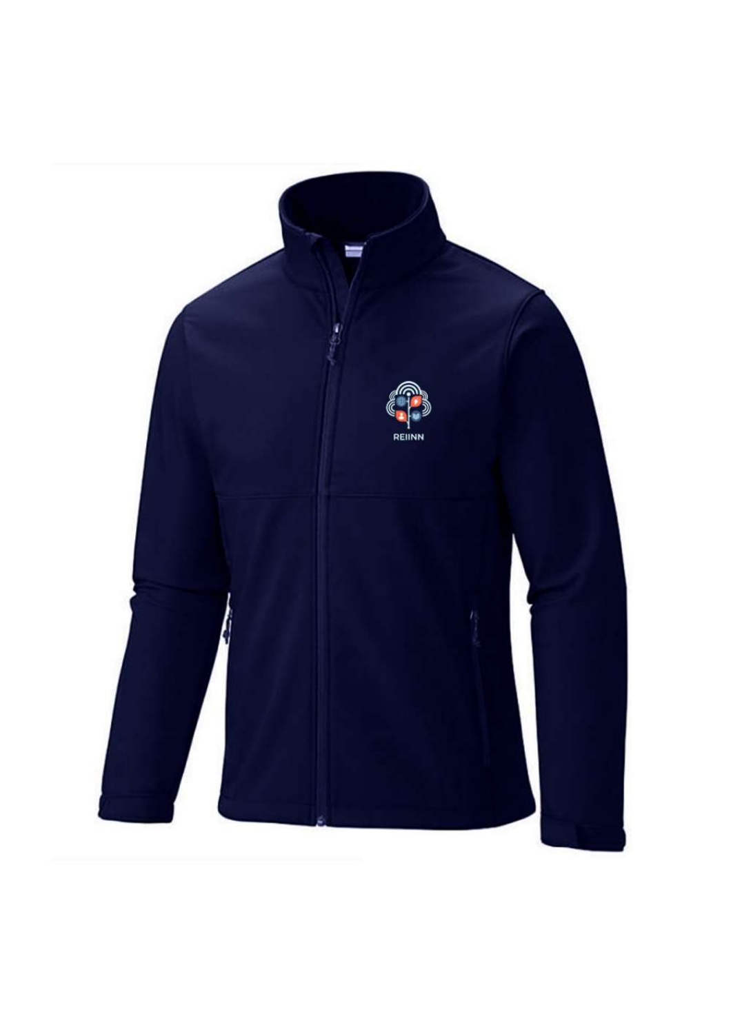